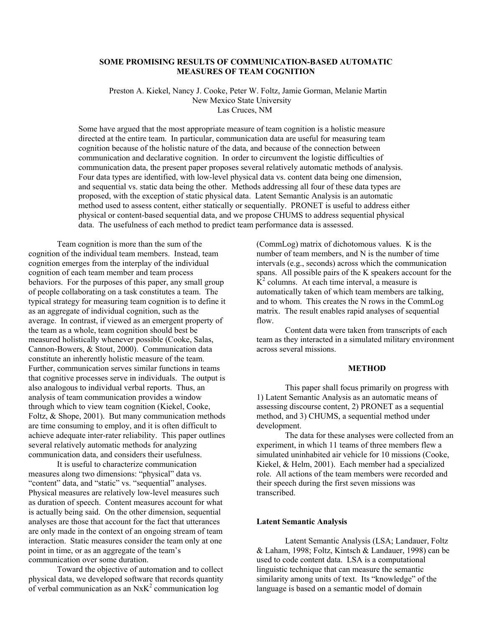## **SOME PROMISING RESULTS OF COMMUNICATION-BASED AUTOMATIC MEASURES OF TEAM COGNITION**

 Preston A. Kiekel, Nancy J. Cooke, Peter W. Foltz, Jamie Gorman, Melanie Martin New Mexico State University Las Cruces, NM

Some have argued that the most appropriate measure of team cognition is a holistic measure directed at the entire team. In particular, communication data are useful for measuring team cognition because of the holistic nature of the data, and because of the connection between communication and declarative cognition. In order to circumvent the logistic difficulties of communication data, the present paper proposes several relatively automatic methods of analysis. Four data types are identified, with low-level physical data vs. content data being one dimension, and sequential vs. static data being the other. Methods addressing all four of these data types are proposed, with the exception of static physical data. Latent Semantic Analysis is an automatic method used to assess content, either statically or sequentially. PRONET is useful to address either physical or content-based sequential data, and we propose CHUMS to address sequential physical data. The usefulness of each method to predict team performance data is assessed.

 Team cognition is more than the sum of the cognition of the individual team members. Instead, team cognition emerges from the interplay of the individual cognition of each team member and team process behaviors. For the purposes of this paper, any small group of people collaborating on a task constitutes a team. The typical strategy for measuring team cognition is to define it as an aggregate of individual cognition, such as the average. In contrast, if viewed as an emergent property of the team as a whole, team cognition should best be measured holistically whenever possible (Cooke, Salas, Cannon-Bowers, & Stout, 2000). Communication data constitute an inherently holistic measure of the team. Further, communication serves similar functions in teams that cognitive processes serve in individuals. The output is also analogous to individual verbal reports. Thus, an analysis of team communication provides a window through which to view team cognition (Kiekel, Cooke, Foltz, & Shope, 2001). But many communication methods are time consuming to employ, and it is often difficult to achieve adequate inter-rater reliability. This paper outlines several relatively automatic methods for analyzing communication data, and considers their usefulness.

 It is useful to characterize communication measures along two dimensions: "physical" data vs. "content" data, and "static" vs. "sequential" analyses. Physical measures are relatively low-level measures such as duration of speech. Content measures account for what is actually being said. On the other dimension, sequential analyses are those that account for the fact that utterances are only made in the context of an ongoing stream of team interaction. Static measures consider the team only at one point in time, or as an aggregate of the team's communication over some duration.

 Toward the objective of automation and to collect physical data, we developed software that records quantity of verbal communication as an  $NxK^2$  communication log

(CommLog) matrix of dichotomous values. K is the number of team members, and N is the number of time intervals (e.g., seconds) across which the communication spans. All possible pairs of the K speakers account for the  $\overrightarrow{K}^2$  columns. At each time interval, a measure is automatically taken of which team members are talking, and to whom. This creates the N rows in the CommLog matrix. The result enables rapid analyses of sequential flow.

 Content data were taken from transcripts of each team as they interacted in a simulated military environment across several missions.

# **METHOD**

 This paper shall focus primarily on progress with 1) Latent Semantic Analysis as an automatic means of assessing discourse content, 2) PRONET as a sequential method, and 3) CHUMS, a sequential method under development.

 The data for these analyses were collected from an experiment, in which 11 teams of three members flew a simulated uninhabited air vehicle for 10 missions (Cooke, Kiekel, & Helm, 2001). Each member had a specialized role. All actions of the team members were recorded and their speech during the first seven missions was transcribed.

# **Latent Semantic Analysis**

 Latent Semantic Analysis (LSA; Landauer, Foltz & Laham, 1998; Foltz, Kintsch & Landauer, 1998) can be used to code content data. LSA is a computational linguistic technique that can measure the semantic similarity among units of text. Its "knowledge" of the language is based on a semantic model of domain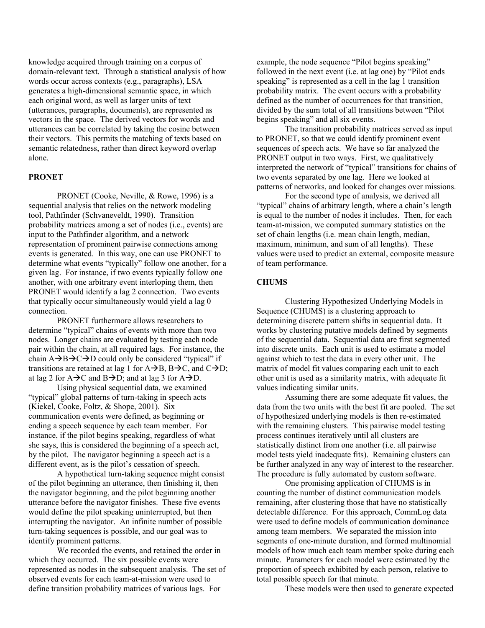knowledge acquired through training on a corpus of domain-relevant text. Through a statistical analysis of how words occur across contexts (e.g., paragraphs), LSA generates a high-dimensional semantic space, in which each original word, as well as larger units of text (utterances, paragraphs, documents), are represented as vectors in the space. The derived vectors for words and utterances can be correlated by taking the cosine between their vectors. This permits the matching of texts based on semantic relatedness, rather than direct keyword overlap alone.

### **PRONET**

 PRONET (Cooke, Neville, & Rowe, 1996) is a sequential analysis that relies on the network modeling tool, Pathfinder (Schvaneveldt, 1990). Transition probability matrices among a set of nodes (i.e., events) are input to the Pathfinder algorithm, and a network representation of prominent pairwise connections among events is generated. In this way, one can use PRONET to determine what events "typically" follow one another, for a given lag. For instance, if two events typically follow one another, with one arbitrary event interloping them, then PRONET would identify a lag 2 connection. Two events that typically occur simultaneously would yield a lag 0 connection.

 PRONET furthermore allows researchers to determine "typical" chains of events with more than two nodes. Longer chains are evaluated by testing each node pair within the chain, at all required lags. For instance, the chain  $A \rightarrow B \rightarrow C \rightarrow D$  could only be considered "typical" if transitions are retained at lag 1 for  $A\rightarrow B$ ,  $B\rightarrow C$ , and  $C\rightarrow D$ ; at lag 2 for  $A \rightarrow C$  and  $B \rightarrow D$ ; and at lag 3 for  $A \rightarrow D$ .

 Using physical sequential data, we examined "typical" global patterns of turn-taking in speech acts (Kiekel, Cooke, Foltz, & Shope, 2001). Six communication events were defined, as beginning or ending a speech sequence by each team member. For instance, if the pilot begins speaking, regardless of what she says, this is considered the beginning of a speech act, by the pilot. The navigator beginning a speech act is a different event, as is the pilot's cessation of speech.

 A hypothetical turn-taking sequence might consist of the pilot beginning an utterance, then finishing it, then the navigator beginning, and the pilot beginning another utterance before the navigator finishes. These five events would define the pilot speaking uninterrupted, but then interrupting the navigator. An infinite number of possible turn-taking sequences is possible, and our goal was to identify prominent patterns.

 We recorded the events, and retained the order in which they occurred. The six possible events were represented as nodes in the subsequent analysis. The set of observed events for each team-at-mission were used to define transition probability matrices of various lags. For

example, the node sequence "Pilot begins speaking" followed in the next event (i.e. at lag one) by "Pilot ends speaking" is represented as a cell in the lag 1 transition probability matrix. The event occurs with a probability defined as the number of occurrences for that transition, divided by the sum total of all transitions between "Pilot begins speaking" and all six events.

 The transition probability matrices served as input to PRONET, so that we could identify prominent event sequences of speech acts. We have so far analyzed the PRONET output in two ways. First, we qualitatively interpreted the network of "typical" transitions for chains of two events separated by one lag. Here we looked at patterns of networks, and looked for changes over missions.

 For the second type of analysis, we derived all "typical" chains of arbitrary length, where a chain's length is equal to the number of nodes it includes. Then, for each team-at-mission, we computed summary statistics on the set of chain lengths (i.e. mean chain length, median, maximum, minimum, and sum of all lengths). These values were used to predict an external, composite measure of team performance.

## **CHUMS**

 Clustering Hypothesized Underlying Models in Sequence (CHUMS) is a clustering approach to determining discrete pattern shifts in sequential data. It works by clustering putative models defined by segments of the sequential data. Sequential data are first segmented into discrete units. Each unit is used to estimate a model against which to test the data in every other unit. The matrix of model fit values comparing each unit to each other unit is used as a similarity matrix, with adequate fit values indicating similar units.

 Assuming there are some adequate fit values, the data from the two units with the best fit are pooled. The set of hypothesized underlying models is then re-estimated with the remaining clusters. This pairwise model testing process continues iteratively until all clusters are statistically distinct from one another (i.e. all pairwise model tests yield inadequate fits). Remaining clusters can be further analyzed in any way of interest to the researcher. The procedure is fully automated by custom software.

 One promising application of CHUMS is in counting the number of distinct communication models remaining, after clustering those that have no statistically detectable difference. For this approach, CommLog data were used to define models of communication dominance among team members. We separated the mission into segments of one-minute duration, and formed multinomial models of how much each team member spoke during each minute. Parameters for each model were estimated by the proportion of speech exhibited by each person, relative to total possible speech for that minute.

These models were then used to generate expected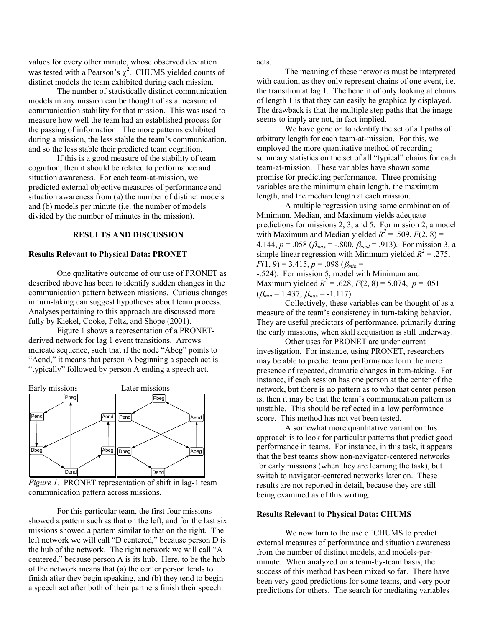values for every other minute, whose observed deviation was tested with a Pearson's  $\chi^2$ . CHUMS yielded counts of distinct models the team exhibited during each mission.

 The number of statistically distinct communication models in any mission can be thought of as a measure of communication stability for that mission. This was used to measure how well the team had an established process for the passing of information. The more patterns exhibited during a mission, the less stable the team's communication, and so the less stable their predicted team cognition.

 If this is a good measure of the stability of team cognition, then it should be related to performance and situation awareness. For each team-at-mission, we predicted external objective measures of performance and situation awareness from (a) the number of distinct models and (b) models per minute (i.e. the number of models divided by the number of minutes in the mission).

## **RESULTS AND DISCUSSION**

### **Results Relevant to Physical Data: PRONET**

 One qualitative outcome of our use of PRONET as described above has been to identify sudden changes in the communication pattern between missions. Curious changes in turn-taking can suggest hypotheses about team process. Analyses pertaining to this approach are discussed more fully by Kiekel, Cooke, Foltz, and Shope (2001).

 Figure 1 shows a representation of a PRONETderived network for lag 1 event transitions. Arrows indicate sequence, such that if the node "Abeg" points to "Aend," it means that person A beginning a speech act is "typically" followed by person A ending a speech act.



*Figure 1.* PRONET representation of shift in lag-1 team communication pattern across missions.

 For this particular team, the first four missions showed a pattern such as that on the left, and for the last six missions showed a pattern similar to that on the right. The left network we will call "D centered," because person D is the hub of the network. The right network we will call "A centered," because person A is its hub. Here, to be the hub of the network means that (a) the center person tends to finish after they begin speaking, and (b) they tend to begin a speech act after both of their partners finish their speech

acts.

 The meaning of these networks must be interpreted with caution, as they only represent chains of one event, i.e. the transition at lag 1. The benefit of only looking at chains of length 1 is that they can easily be graphically displayed. The drawback is that the multiple step paths that the image seems to imply are not, in fact implied.

 We have gone on to identify the set of all paths of arbitrary length for each team-at-mission. For this, we employed the more quantitative method of recording summary statistics on the set of all "typical" chains for each team-at-mission. These variables have shown some promise for predicting performance. Three promising variables are the minimum chain length, the maximum length, and the median length at each mission.

 A multiple regression using some combination of Minimum, Median, and Maximum yields adequate predictions for missions 2, 3, and 5. For mission 2, a model with Maximum and Median yielded  $R^2 = .509$ ,  $F(2, 8) =$ 4.144,  $p = .058$  ( $\beta_{max} = .800$ ,  $\beta_{med} = .913$ ). For mission 3, a simple linear regression with Minimum yielded  $R^2 = .275$ ,  $F(1, 9) = 3.415$ ,  $p = .098$  ( $\beta_{min} =$ -.524). For mission 5, model with Minimum and Maximum yielded  $R^2 = .628$ ,  $F(2, 8) = 5.074$ ,  $p = .051$  $(\beta_{min} = 1.437; \beta_{max} = -1.117)$ .

 Collectively, these variables can be thought of as a measure of the team's consistency in turn-taking behavior. They are useful predictors of performance, primarily during the early missions, when skill acquisition is still underway.

 Other uses for PRONET are under current investigation. For instance, using PRONET, researchers may be able to predict team performance form the mere presence of repeated, dramatic changes in turn-taking. For instance, if each session has one person at the center of the network, but there is no pattern as to who that center person is, then it may be that the team's communication pattern is unstable. This should be reflected in a low performance score. This method has not yet been tested.

 A somewhat more quantitative variant on this approach is to look for particular patterns that predict good performance in teams. For instance, in this task, it appears that the best teams show non-navigator-centered networks for early missions (when they are learning the task), but switch to navigator-centered networks later on. These results are not reported in detail, because they are still being examined as of this writing.

#### **Results Relevant to Physical Data: CHUMS**

 We now turn to the use of CHUMS to predict external measures of performance and situation awareness from the number of distinct models, and models-perminute. When analyzed on a team-by-team basis, the success of this method has been mixed so far. There have been very good predictions for some teams, and very poor predictions for others. The search for mediating variables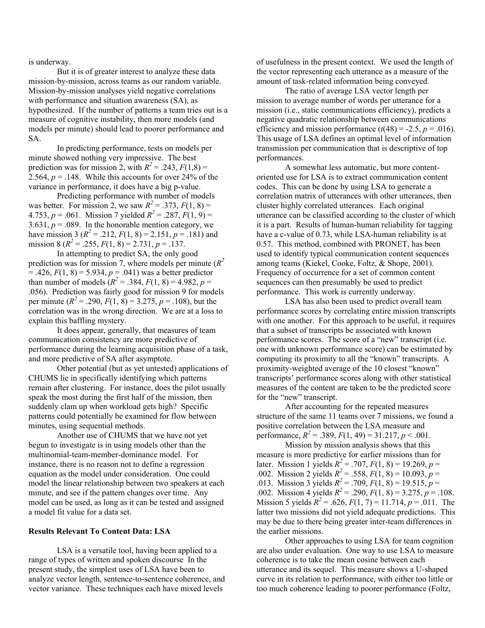is underway.

 But it is of greater interest to analyze these data mission-by-mission, across teams as our random variable. Mission-by-mission analyses yield negative correlations with performance and situation awareness (SA), as hypothesized. If the number of patterns a team tries out is a measure of cognitive instability, then more models (and models per minute) should lead to poorer performance and SA.

 In predicting performance, tests on models per minute showed nothing very impressive. The best prediction was for mission 2, with  $R^2 = .243$ ,  $F(1,8) =$ 2.564,  $p = 0.148$ . While this accounts for over 24% of the variance in performance, it does have a big p-value.

 Predicting performance with number of models was better. For mission 2, we saw  $R^2 = 0.373$ ,  $F(1, 8) =$ 4.753,  $p = .061$ . Mission 7 yielded  $R^2 = .287$ ,  $F(1, 9) =$ 3.631,  $p = .089$ . In the honorable mention category, we have mission 3 ( $R^2 = .212$ ,  $F(1, 8) = 2.151$ ,  $p = .181$ ) and mission 8 ( $R^2 = 0.255$ ,  $F(1, 8) = 2.731$ ,  $p = 0.137$ .

 In attempting to predict SA, the only good prediction was for mission 7, where models per minute  $(R^2)$  $= .426, F(1, 8) = 5.934, p = .041$  was a better predictor than number of models  $(R^2 = .384, F(1, 8) = 4.982, p =$ .056). Prediction was fairly good for mission 9 for models per minute  $(R^2 = .290, F(1, 8) = 3.275, p = .108)$ , but the correlation was in the wrong direction. We are at a loss to explain this baffling mystery.

 It does appear, generally, that measures of team communication consistency are more predictive of performance during the learning acquisition phase of a task, and more predictive of SA after asymptote.

 Other potential (but as yet untested) applications of CHUMS lie in specifically identifying which patterns remain after clustering. For instance, does the pilot usually speak the most during the first half of the mission, then suddenly clam up when workload gets high? Specific patterns could potentially be examined for flow between minutes, using sequential methods.

 Another use of CHUMS that we have not yet begun to investigate is in using models other than the multinomial-team-member-dominance model. For instance, there is no reason not to define a regression equation as the model under consideration. One could model the linear relationship between two speakers at each minute, and see if the pattern changes over time. Any model can be used, as long as it can be tested and assigned a model fit value for a data set.

## **Results Relevant To Content Data: LSA**

 LSA is a versatile tool, having been applied to a range of types of written and spoken discourse In the present study, the simplest uses of LSA have been to analyze vector length, sentence-to-sentence coherence, and vector variance. These techniques each have mixed levels

of usefulness in the present context. We used the length of the vector representing each utterance as a measure of the amount of task-related information being conveyed.

 The ratio of average LSA vector length per mission to average number of words per utterance for a mission (i.e., static communications efficiency), predicts a negative quadratic relationship between communications efficiency and mission performance  $(t(48) = -2.5, p = .016)$ . This usage of LSA defines an optimal level of information transmission per communication that is descriptive of top performances.

 A somewhat less automatic, but more contentoriented use for LSA is to extract communication content codes. This can be done by using LSA to generate a correlation matrix of utterances with other utterances, then cluster highly correlated utterances. Each original utterance can be classified according to the cluster of which it is a part. Results of human-human reliability for tagging have a c-value of 0.73, while LSA-human reliability is at 0.57. This method, combined with PRONET, has been used to identify typical communication content sequences among teams (Kiekel, Cooke, Foltz, & Shope, 2001). Frequency of occurrence for a set of common content sequences can then presumably be used to predict performance. This work is currently underway.

 LSA has also been used to predict overall team performance scores by correlating entire mission transcripts with one another. For this approach to be useful, it requires that a subset of transcripts be associated with known performance scores. The score of a "new" transcript (i.e. one with unknown performance score) can be estimated by computing its proximity to all the "known" transcripts. A proximity-weighted average of the 10 closest "known" transcripts' performance scores along with other statistical measures of the content are taken to be the predicted score for the "new" transcript.

 After accounting for the repeated measures structure of the same 11 teams over 7 missions, we found a positive correlation between the LSA measure and performance,  $R^2 = 0.389$ ,  $F(1, 49) = 31.217$ ,  $p < 0.001$ .

 Mission by mission analysis shows that this measure is more predictive for earlier missions than for later. Mission 1 yields  $R^2 = .707$ ,  $F(1, 8) = 19.269$ ,  $p =$ .002. Mission 2 yields  $R^2 = .558$ ,  $F(1, 8) = 10.093$ ,  $p =$ .013. Mission 3 yields  $R^2 = .709$ ,  $F(1, 8) = 19.515$ ,  $p =$ .002. Mission 4 yields  $R^2 = .290$ ,  $F(1, 8) = 3.275$ ,  $p = .108$ . Mission 5 yields  $R^2 = .626$ ,  $F(1, 7) = 11.714$ ,  $p = .011$ . The latter two missions did not yield adequate predictions. This may be due to there being greater inter-team differences in the earlier missions.

 Other approaches to using LSA for team cognition are also under evaluation. One way to use LSA to measure coherence is to take the mean cosine between each utterance and its sequel. This measure shows a U-shaped curve in its relation to performance, with either too little or too much coherence leading to poorer performance (Foltz,